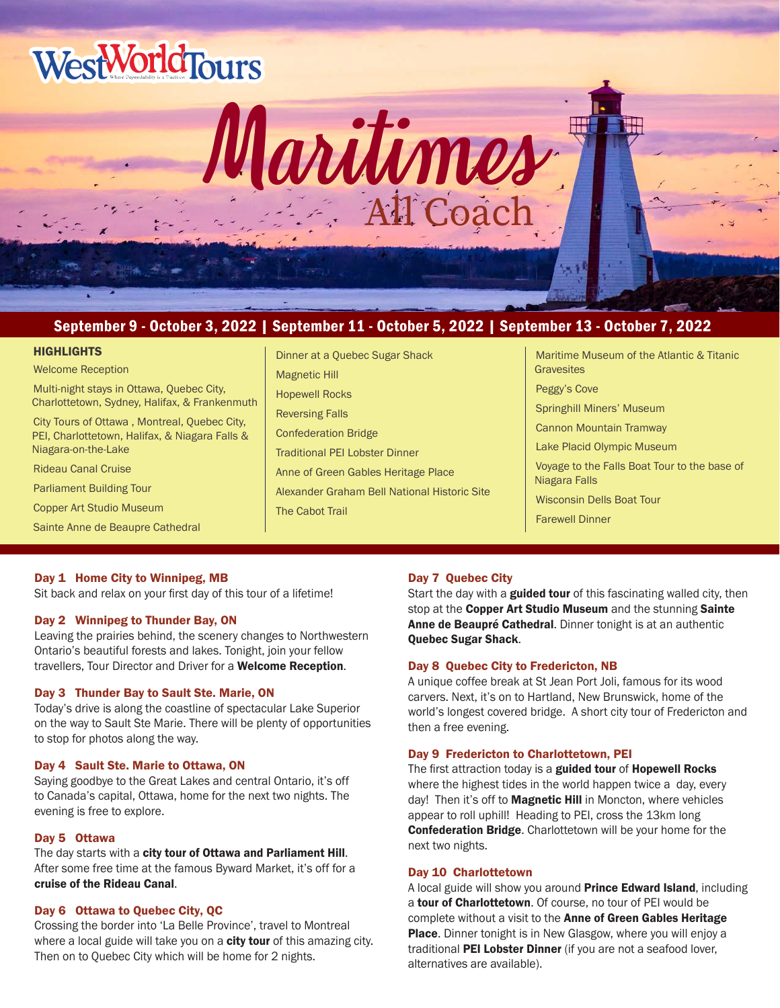



# September 9 - October 3, 2022 | September 11 - October 5, 2022 | September 13 - October 7, 2022

#### **HIGHLIGHTS**

Welcome Reception Multi-night stays in Ottawa, Quebec City, Charlottetown, Sydney, Halifax, & Frankenmuth City Tours of Ottawa , Montreal, Quebec City, PEI, Charlottetown, Halifax, & Niagara Falls & Niagara-on-the-Lake Rideau Canal Cruise Parliament Building Tour Copper Art Studio Museum

Sainte Anne de Beaupre Cathedral

Dinner at a Quebec Sugar Shack Magnetic Hill Hopewell Rocks Reversing Falls Confederation Bridge Traditional PEI Lobster Dinner Anne of Green Gables Heritage Place Alexander Graham Bell National Historic Site The Cabot Trail

Maritime Museum of the Atlantic & Titanic **Gravesites** Peggy's Cove Springhill Miners' Museum Cannon Mountain Tramway Lake Placid Olympic Museum Voyage to the Falls Boat Tour to the base of Niagara Falls Wisconsin Dells Boat Tour Farewell Dinner

### Day 1 Home City to Winnipeg, MB

Sit back and relax on your first day of this tour of a lifetime!

### Day 2 Winnipeg to Thunder Bay, ON

Leaving the prairies behind, the scenery changes to Northwestern Ontario's beautiful forests and lakes. Tonight, join your fellow travellers, Tour Director and Driver for a Welcome Reception.

# Day 3 Thunder Bay to Sault Ste. Marie, ON

Today's drive is along the coastline of spectacular Lake Superior on the way to Sault Ste Marie. There will be plenty of opportunities to stop for photos along the way.

### Day 4 Sault Ste. Marie to Ottawa, ON

Saying goodbye to the Great Lakes and central Ontario, it's off to Canada's capital, Ottawa, home for the next two nights. The evening is free to explore.

### Day 5 Ottawa

The day starts with a city tour of Ottawa and Parliament Hill. After some free time at the famous Byward Market, it's off for a cruise of the Rideau Canal.

# Day 6 Ottawa to Quebec City, QC

Crossing the border into 'La Belle Province', travel to Montreal where a local guide will take you on a **city tour** of this amazing city. Then on to Quebec City which will be home for 2 nights.

# Day 7 Quebec City

Start the day with a **guided tour** of this fascinating walled city, then stop at the Copper Art Studio Museum and the stunning Sainte Anne de Beaupré Cathedral. Dinner tonight is at an authentic Quebec Sugar Shack.

# Day 8 Quebec City to Fredericton, NB

A unique coffee break at St Jean Port Joli, famous for its wood carvers. Next, it's on to Hartland, New Brunswick, home of the world's longest covered bridge. A short city tour of Fredericton and then a free evening.

# Day 9 Fredericton to Charlottetown, PEI

The first attraction today is a guided tour of Hopewell Rocks where the highest tides in the world happen twice a day, every day! Then it's off to **Magnetic Hill** in Moncton, where vehicles appear to roll uphill! Heading to PEI, cross the 13km long **Confederation Bridge.** Charlottetown will be your home for the next two nights.

### Day 10 Charlottetown

A local guide will show you around **Prince Edward Island**, including a tour of Charlottetown. Of course, no tour of PEI would be complete without a visit to the Anne of Green Gables Heritage Place. Dinner tonight is in New Glasgow, where you will enjoy a traditional PEI Lobster Dinner (if you are not a seafood lover, alternatives are available).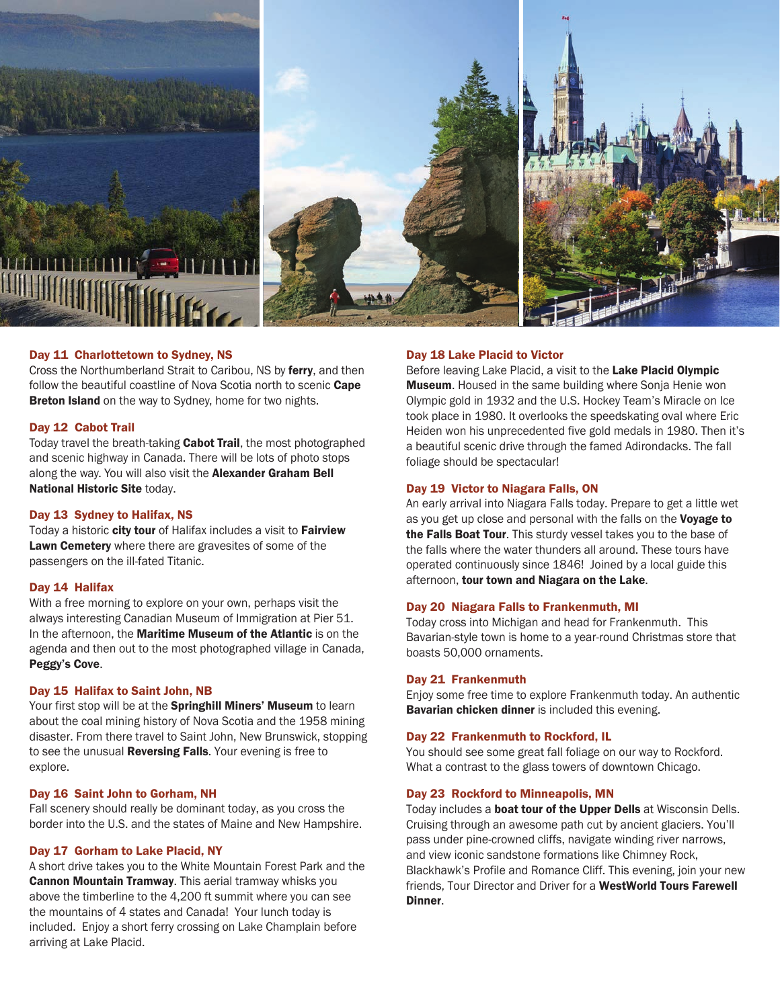

### Day 11 Charlottetown to Sydney, NS

Cross the Northumberland Strait to Caribou, NS by ferry, and then follow the beautiful coastline of Nova Scotia north to scenic Cape **Breton Island** on the way to Sydney, home for two nights.

### Day 12 Cabot Trail

Today travel the breath-taking **Cabot Trail**, the most photographed and scenic highway in Canada. There will be lots of photo stops along the way. You will also visit the Alexander Graham Bell National Historic Site today.

#### Day 13 Sydney to Halifax, NS

Today a historic city tour of Halifax includes a visit to Fairview Lawn Cemetery where there are gravesites of some of the passengers on the ill-fated Titanic.

### Day 14 Halifax

With a free morning to explore on your own, perhaps visit the always interesting Canadian Museum of Immigration at Pier 51. In the afternoon, the Maritime Museum of the Atlantic is on the agenda and then out to the most photographed village in Canada, Peggy's Cove.

#### Day 15 Halifax to Saint John, NB

Your first stop will be at the Springhill Miners' Museum to learn about the coal mining history of Nova Scotia and the 1958 mining disaster. From there travel to Saint John, New Brunswick, stopping to see the unusual **Reversing Falls**. Your evening is free to explore.

#### Day 16 Saint John to Gorham, NH

Fall scenery should really be dominant today, as you cross the border into the U.S. and the states of Maine and New Hampshire.

#### Day 17 Gorham to Lake Placid, NY

A short drive takes you to the White Mountain Forest Park and the Cannon Mountain Tramway. This aerial tramway whisks you above the timberline to the 4,200 ft summit where you can see the mountains of 4 states and Canada! Your lunch today is included. Enjoy a short ferry crossing on Lake Champlain before arriving at Lake Placid.

#### Day 18 Lake Placid to Victor

Before leaving Lake Placid, a visit to the Lake Placid Olympic Museum. Housed in the same building where Sonja Henie won Olympic gold in 1932 and the U.S. Hockey Team's Miracle on Ice took place in 1980. It overlooks the speedskating oval where Eric Heiden won his unprecedented five gold medals in 1980. Then it's a beautiful scenic drive through the famed Adirondacks. The fall foliage should be spectacular!

#### Day 19 Victor to Niagara Falls, ON

An early arrival into Niagara Falls today. Prepare to get a little wet as you get up close and personal with the falls on the Voyage to the Falls Boat Tour. This sturdy vessel takes you to the base of the falls where the water thunders all around. These tours have operated continuously since 1846! Joined by a local guide this afternoon, tour town and Niagara on the Lake.

#### Day 20 Niagara Falls to Frankenmuth, MI

Today cross into Michigan and head for Frankenmuth. This Bavarian-style town is home to a year-round Christmas store that boasts 50,000 ornaments.

#### Day 21 Frankenmuth

Enjoy some free time to explore Frankenmuth today. An authentic Bavarian chicken dinner is included this evening.

# Day 22 Frankenmuth to Rockford, IL

You should see some great fall foliage on our way to Rockford. What a contrast to the glass towers of downtown Chicago.

### Day 23 Rockford to Minneapolis, MN

Today includes a **boat tour of the Upper Dells** at Wisconsin Dells. Cruising through an awesome path cut by ancient glaciers. You'll pass under pine-crowned cliffs, navigate winding river narrows, and view iconic sandstone formations like Chimney Rock, Blackhawk's Profile and Romance Cliff. This evening, join your new friends. Tour Director and Driver for a WestWorld Tours Farewell Dinner.